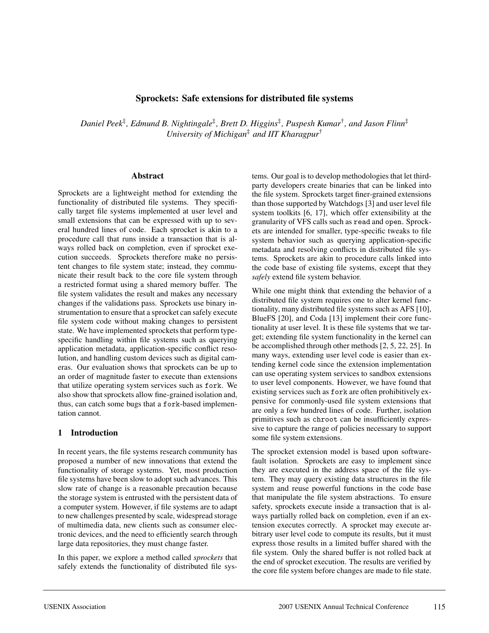### **Sprockets: Safe extensions for distributed file systems**

*Daniel Peek*‡*, Edmund B. Nightingale*‡*, Brett D. Higgins*‡*, Puspesh Kumar*†*, and Jason Flinn*‡ *University of Michigan*‡ *and IIT Kharagpur*†

1

#### **Abstract**

Sprockets are a lightweight method for extending the functionality of distributed file systems. They specifically target file systems implemented at user level and small extensions that can be expressed with up to several hundred lines of code. Each sprocket is akin to a procedure call that runs inside a transaction that is always rolled back on completion, even if sprocket execution succeeds. Sprockets therefore make no persistent changes to file system state; instead, they communicate their result back to the core file system through a restricted format using a shared memory buffer. The file system validates the result and makes any necessary changes if the validations pass. Sprockets use binary instrumentation to ensure that a sprocket can safely execute file system code without making changes to persistent state. We have implemented sprockets that perform typespecific handling within file systems such as querying application metadata, application-specific conflict resolution, and handling custom devices such as digital cameras. Our evaluation shows that sprockets can be up to an order of magnitude faster to execute than extensions that utilize operating system services such as fork. We also show that sprockets allow fine-grained isolation and, thus, can catch some bugs that a fork-based implementation cannot.

### **1 Introduction**

In recent years, the file systems research community has proposed a number of new innovations that extend the functionality of storage systems. Yet, most production file systems have been slow to adopt such advances. This slow rate of change is a reasonable precaution because the storage system is entrusted with the persistent data of a computer system. However, if file systems are to adapt to new challenges presented by scale, widespread storage of multimedia data, new clients such as consumer electronic devices, and the need to efficiently search through large data repositories, they must change faster.

In this paper, we explore a method called *sprockets* that safely extends the functionality of distributed file systems. Our goal is to develop methodologies that let thirdparty developers create binaries that can be linked into the file system. Sprockets target finer-grained extensions than those supported by Watchdogs [3] and user level file system toolkits [6, 17], which offer extensibility at the granularity of VFS calls such as read and open. Sprockets are intended for smaller, type-specific tweaks to file system behavior such as querying application-specific metadata and resolving conflicts in distributed file systems. Sprockets are akin to procedure calls linked into the code base of existing file systems, except that they *safely* extend file system behavior.

While one might think that extending the behavior of a distributed file system requires one to alter kernel functionality, many distributed file systems such as AFS [10], BlueFS [20], and Coda [13] implement their core functionality at user level. It is these file systems that we target; extending file system functionality in the kernel can be accomplished through other methods [2, 5, 22, 25]. In many ways, extending user level code is easier than extending kernel code since the extension implementation can use operating system services to sandbox extensions to user level components. However, we have found that existing services such as fork are often prohibitively expensive for commonly-used file system extensions that are only a few hundred lines of code. Further, isolation primitives such as chroot can be insufficiently expressive to capture the range of policies necessary to support some file system extensions.

The sprocket extension model is based upon softwarefault isolation. Sprockets are easy to implement since they are executed in the address space of the file system. They may query existing data structures in the file system and reuse powerful functions in the code base that manipulate the file system abstractions. To ensure safety, sprockets execute inside a transaction that is always partially rolled back on completion, even if an extension executes correctly. A sprocket may execute arbitrary user level code to compute its results, but it must express those results in a limited buffer shared with the file system. Only the shared buffer is not rolled back at the end of sprocket execution. The results are verified by the core file system before changes are made to file state.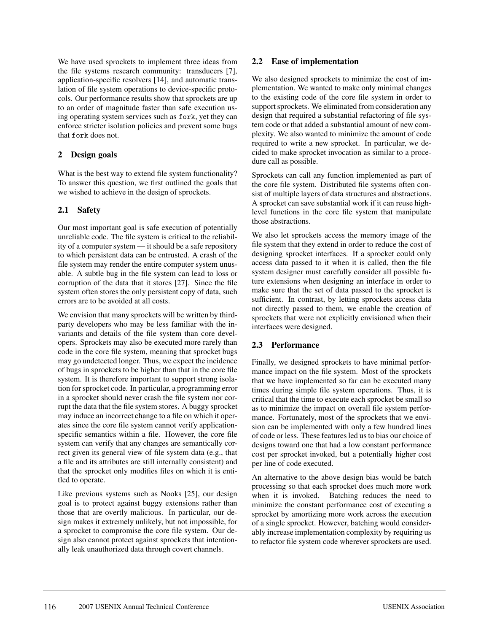We have used sprockets to implement three ideas from the file systems research community: transducers [7], application-specific resolvers [14], and automatic translation of file system operations to device-specific protocols. Our performance results show that sprockets are up to an order of magnitude faster than safe execution using operating system services such as fork, yet they can enforce stricter isolation policies and prevent some bugs that fork does not.

## **2 Design goals**

What is the best way to extend file system functionality? To answer this question, we first outlined the goals that we wished to achieve in the design of sprockets.

## **2.1 Safety**

Our most important goal is safe execution of potentially unreliable code. The file system is critical to the reliability of a computer system — it should be a safe repository to which persistent data can be entrusted. A crash of the file system may render the entire computer system unusable. A subtle bug in the file system can lead to loss or corruption of the data that it stores [27]. Since the file system often stores the only persistent copy of data, such errors are to be avoided at all costs.

We envision that many sprockets will be written by thirdparty developers who may be less familiar with the invariants and details of the file system than core developers. Sprockets may also be executed more rarely than code in the core file system, meaning that sprocket bugs may go undetected longer. Thus, we expect the incidence of bugs in sprockets to be higher than that in the core file system. It is therefore important to support strong isolation for sprocket code. In particular, a programming error in a sprocket should never crash the file system nor corrupt the data that the file system stores. A buggy sprocket may induce an incorrect change to a file on which it operates since the core file system cannot verify applicationspecific semantics within a file. However, the core file system can verify that any changes are semantically correct given its general view of file system data (e.g., that a file and its attributes are still internally consistent) and that the sprocket only modifies files on which it is entitled to operate.

Like previous systems such as Nooks [25], our design goal is to protect against buggy extensions rather than those that are overtly malicious. In particular, our design makes it extremely unlikely, but not impossible, for a sprocket to compromise the core file system. Our design also cannot protect against sprockets that intentionally leak unauthorized data through covert channels.

### **2.2 Ease of implementation**

We also designed sprockets to minimize the cost of implementation. We wanted to make only minimal changes to the existing code of the core file system in order to support sprockets. We eliminated from consideration any design that required a substantial refactoring of file system code or that added a substantial amount of new complexity. We also wanted to minimize the amount of code required to write a new sprocket. In particular, we decided to make sprocket invocation as similar to a procedure call as possible.

Sprockets can call any function implemented as part of the core file system. Distributed file systems often consist of multiple layers of data structures and abstractions. A sprocket can save substantial work if it can reuse highlevel functions in the core file system that manipulate those abstractions.

We also let sprockets access the memory image of the file system that they extend in order to reduce the cost of designing sprocket interfaces. If a sprocket could only access data passed to it when it is called, then the file system designer must carefully consider all possible future extensions when designing an interface in order to make sure that the set of data passed to the sprocket is sufficient. In contrast, by letting sprockets access data not directly passed to them, we enable the creation of sprockets that were not explicitly envisioned when their interfaces were designed.

## **2.3 Performance**

Finally, we designed sprockets to have minimal performance impact on the file system. Most of the sprockets that we have implemented so far can be executed many times during simple file system operations. Thus, it is critical that the time to execute each sprocket be small so as to minimize the impact on overall file system performance. Fortunately, most of the sprockets that we envision can be implemented with only a few hundred lines of code or less. These features led us to bias our choice of designs toward one that had a low constant performance cost per sprocket invoked, but a potentially higher cost per line of code executed.

An alternative to the above design bias would be batch processing so that each sprocket does much more work when it is invoked. Batching reduces the need to minimize the constant performance cost of executing a sprocket by amortizing more work across the execution of a single sprocket. However, batching would considerably increase implementation complexity by requiring us to refactor file system code wherever sprockets are used.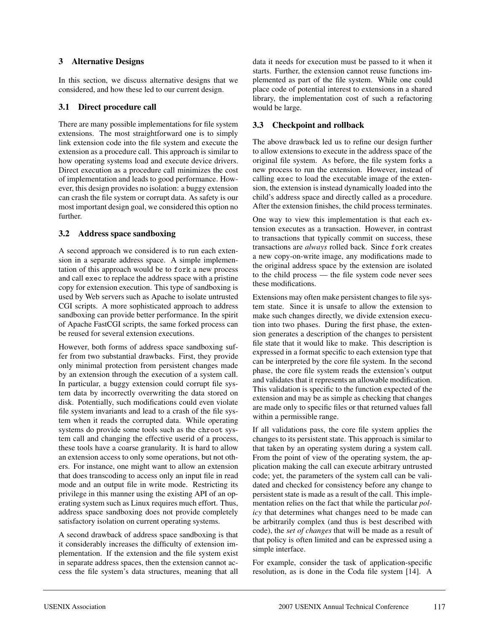### **3 Alternative Designs**

In this section, we discuss alternative designs that we considered, and how these led to our current design.

### **3.1 Direct procedure call**

There are many possible implementations for file system extensions. The most straightforward one is to simply link extension code into the file system and execute the extension as a procedure call. This approach is similar to how operating systems load and execute device drivers. Direct execution as a procedure call minimizes the cost of implementation and leads to good performance. However, this design provides no isolation: a buggy extension can crash the file system or corrupt data. As safety is our most important design goal, we considered this option no further.

## **3.2 Address space sandboxing**

A second approach we considered is to run each extension in a separate address space. A simple implementation of this approach would be to fork a new process and call exec to replace the address space with a pristine copy for extension execution. This type of sandboxing is used by Web servers such as Apache to isolate untrusted CGI scripts. A more sophisticated approach to address sandboxing can provide better performance. In the spirit of Apache FastCGI scripts, the same forked process can be reused for several extension executions.

However, both forms of address space sandboxing suffer from two substantial drawbacks. First, they provide only minimal protection from persistent changes made by an extension through the execution of a system call. In particular, a buggy extension could corrupt file system data by incorrectly overwriting the data stored on disk. Potentially, such modifications could even violate file system invariants and lead to a crash of the file system when it reads the corrupted data. While operating systems do provide some tools such as the chroot system call and changing the effective userid of a process, these tools have a coarse granularity. It is hard to allow an extension access to only some operations, but not others. For instance, one might want to allow an extension that does transcoding to access only an input file in read mode and an output file in write mode. Restricting its privilege in this manner using the existing API of an operating system such as Linux requires much effort. Thus, address space sandboxing does not provide completely satisfactory isolation on current operating systems.

A second drawback of address space sandboxing is that it considerably increases the difficulty of extension implementation. If the extension and the file system exist in separate address spaces, then the extension cannot access the file system's data structures, meaning that all data it needs for execution must be passed to it when it starts. Further, the extension cannot reuse functions implemented as part of the file system. While one could place code of potential interest to extensions in a shared library, the implementation cost of such a refactoring would be large.

# **3.3 Checkpoint and rollback**

The above drawback led us to refine our design further to allow extensions to execute in the address space of the original file system. As before, the file system forks a new process to run the extension. However, instead of calling exec to load the executable image of the extension, the extension is instead dynamically loaded into the child's address space and directly called as a procedure. After the extension finishes, the child process terminates.

One way to view this implementation is that each extension executes as a transaction. However, in contrast to transactions that typically commit on success, these transactions are *always* rolled back. Since fork creates a new copy-on-write image, any modifications made to the original address space by the extension are isolated to the child process — the file system code never sees these modifications.

Extensions may often make persistent changes to file system state. Since it is unsafe to allow the extension to make such changes directly, we divide extension execution into two phases. During the first phase, the extension generates a description of the changes to persistent file state that it would like to make. This description is expressed in a format specific to each extension type that can be interpreted by the core file system. In the second phase, the core file system reads the extension's output and validates that it represents an allowable modification. This validation is specific to the function expected of the extension and may be as simple as checking that changes are made only to specific files or that returned values fall within a permissible range.

If all validations pass, the core file system applies the changes to its persistent state. This approach is similar to that taken by an operating system during a system call. From the point of view of the operating system, the application making the call can execute arbitrary untrusted code; yet, the parameters of the system call can be validated and checked for consistency before any change to persistent state is made as a result of the call. This implementation relies on the fact that while the particular *policy* that determines what changes need to be made can be arbitrarily complex (and thus is best described with code), the *set of changes* that will be made as a result of that policy is often limited and can be expressed using a simple interface.

For example, consider the task of application-specific resolution, as is done in the Coda file system [14]. A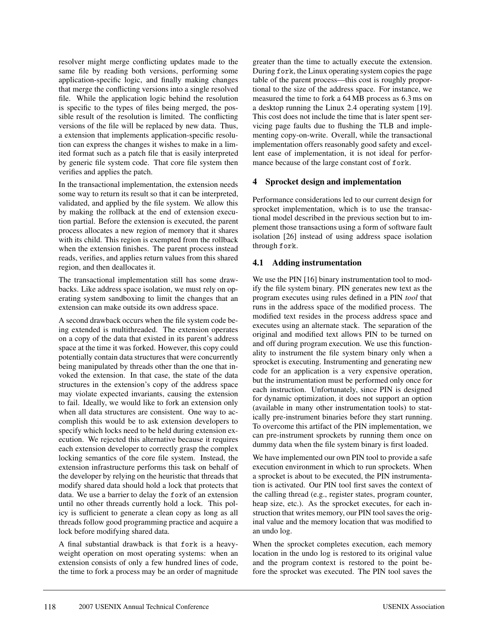resolver might merge conflicting updates made to the same file by reading both versions, performing some application-specific logic, and finally making changes that merge the conflicting versions into a single resolved file. While the application logic behind the resolution is specific to the types of files being merged, the possible result of the resolution is limited. The conflicting versions of the file will be replaced by new data. Thus, a extension that implements application-specific resolution can express the changes it wishes to make in a limited format such as a patch file that is easily interpreted by generic file system code. That core file system then verifies and applies the patch.

In the transactional implementation, the extension needs some way to return its result so that it can be interpreted, validated, and applied by the file system. We allow this by making the rollback at the end of extension execution partial. Before the extension is executed, the parent process allocates a new region of memory that it shares with its child. This region is exempted from the rollback when the extension finishes. The parent process instead reads, verifies, and applies return values from this shared region, and then deallocates it.

The transactional implementation still has some drawbacks. Like address space isolation, we must rely on operating system sandboxing to limit the changes that an extension can make outside its own address space.

A second drawback occurs when the file system code being extended is multithreaded. The extension operates on a copy of the data that existed in its parent's address space at the time it was forked. However, this copy could potentially contain data structures that were concurrently being manipulated by threads other than the one that invoked the extension. In that case, the state of the data structures in the extension's copy of the address space may violate expected invariants, causing the extension to fail. Ideally, we would like to fork an extension only when all data structures are consistent. One way to accomplish this would be to ask extension developers to specify which locks need to be held during extension execution. We rejected this alternative because it requires each extension developer to correctly grasp the complex locking semantics of the core file system. Instead, the extension infrastructure performs this task on behalf of the developer by relying on the heuristic that threads that modify shared data should hold a lock that protects that data. We use a barrier to delay the fork of an extension until no other threads currently hold a lock. This policy is sufficient to generate a clean copy as long as all threads follow good programming practice and acquire a lock before modifying shared data.

A final substantial drawback is that fork is a heavyweight operation on most operating systems: when an extension consists of only a few hundred lines of code, the time to fork a process may be an order of magnitude greater than the time to actually execute the extension. During fork, the Linux operating system copies the page table of the parent process—this cost is roughly proportional to the size of the address space. For instance, we measured the time to fork a 64 MB process as 6.3 ms on a desktop running the Linux 2.4 operating system [19]. This cost does not include the time that is later spent servicing page faults due to flushing the TLB and implementing copy-on-write. Overall, while the transactional implementation offers reasonably good safety and excellent ease of implementation, it is not ideal for performance because of the large constant cost of fork.

### **4 Sprocket design and implementation**

Performance considerations led to our current design for sprocket implementation, which is to use the transactional model described in the previous section but to implement those transactions using a form of software fault isolation [26] instead of using address space isolation through fork.

## **4.1 Adding instrumentation**

We use the PIN [16] binary instrumentation tool to modify the file system binary. PIN generates new text as the program executes using rules defined in a PIN *tool* that runs in the address space of the modified process. The modified text resides in the process address space and executes using an alternate stack. The separation of the original and modified text allows PIN to be turned on and off during program execution. We use this functionality to instrument the file system binary only when a sprocket is executing. Instrumenting and generating new code for an application is a very expensive operation, but the instrumentation must be performed only once for each instruction. Unfortunately, since PIN is designed for dynamic optimization, it does not support an option (available in many other instrumentation tools) to statically pre-instrument binaries before they start running. To overcome this artifact of the PIN implementation, we can pre-instrument sprockets by running them once on dummy data when the file system binary is first loaded.

We have implemented our own PIN tool to provide a safe execution environment in which to run sprockets. When a sprocket is about to be executed, the PIN instrumentation is activated. Our PIN tool first saves the context of the calling thread (e.g., register states, program counter, heap size, etc.). As the sprocket executes, for each instruction that writes memory, our PIN tool saves the original value and the memory location that was modified to an undo log.

When the sprocket completes execution, each memory location in the undo log is restored to its original value and the program context is restored to the point before the sprocket was executed. The PIN tool saves the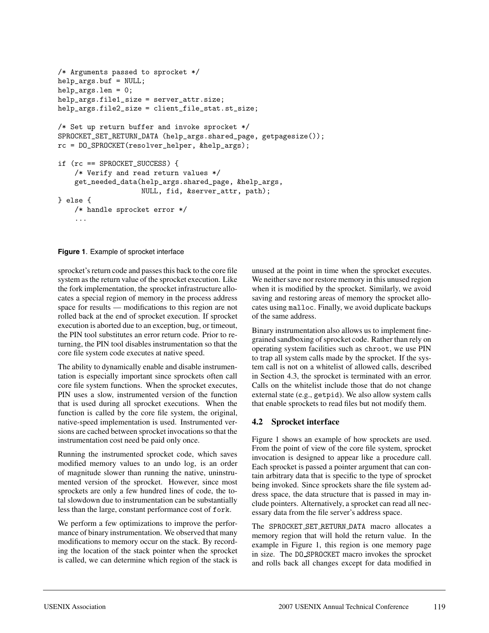```
/* Arguments passed to sprocket */
help_args.buf = NULL;
help_args.len = 0;
help_args.file1_size = server_attr.size;
help_args.file2_size = client_file_stat.st_size;
/* Set up return buffer and invoke sprocket */
SPROCKET_SET_RETURN_DATA (help_args.shared_page, getpagesize());
rc = DO_SPROCKET(resolver_helper, &help_args);
if (rc == SPROCKET_SUCCESS) {
    /* Verify and read return values */
    get_needed_data(help_args.shared_page, &help_args,
                    NULL, fid, &server_attr, path);
} else {
    /* handle sprocket error */
    ...
```
**Figure 1**. Example of sprocket interface

sprocket's return code and passes this back to the core file system as the return value of the sprocket execution. Like the fork implementation, the sprocket infrastructure allocates a special region of memory in the process address space for results — modifications to this region are not rolled back at the end of sprocket execution. If sprocket execution is aborted due to an exception, bug, or timeout, the PIN tool substitutes an error return code. Prior to returning, the PIN tool disables instrumentation so that the core file system code executes at native speed.

The ability to dynamically enable and disable instrumentation is especially important since sprockets often call core file system functions. When the sprocket executes, PIN uses a slow, instrumented version of the function that is used during all sprocket executions. When the function is called by the core file system, the original, native-speed implementation is used. Instrumented versions are cached between sprocket invocations so that the instrumentation cost need be paid only once.

Running the instrumented sprocket code, which saves modified memory values to an undo log, is an order of magnitude slower than running the native, uninstrumented version of the sprocket. However, since most sprockets are only a few hundred lines of code, the total slowdown due to instrumentation can be substantially less than the large, constant performance cost of fork.

We perform a few optimizations to improve the performance of binary instrumentation. We observed that many modifications to memory occur on the stack. By recording the location of the stack pointer when the sprocket is called, we can determine which region of the stack is

unused at the point in time when the sprocket executes. We neither save nor restore memory in this unused region when it is modified by the sprocket. Similarly, we avoid saving and restoring areas of memory the sprocket allocates using malloc. Finally, we avoid duplicate backups of the same address.

Binary instrumentation also allows us to implement finegrained sandboxing of sprocket code. Rather than rely on operating system facilities such as chroot, we use PIN to trap all system calls made by the sprocket. If the system call is not on a whitelist of allowed calls, described in Section 4.3, the sprocket is terminated with an error. Calls on the whitelist include those that do not change external state (e.g., getpid). We also allow system calls that enable sprockets to read files but not modify them.

# **4.2 Sprocket interface**

5

Figure 1 shows an example of how sprockets are used. From the point of view of the core file system, sprocket invocation is designed to appear like a procedure call. Each sprocket is passed a pointer argument that can contain arbitrary data that is specific to the type of sprocket being invoked. Since sprockets share the file system address space, the data structure that is passed in may include pointers. Alternatively, a sprocket can read all necessary data from the file server's address space.

The SPROCKET SET RETURN DATA macro allocates a memory region that will hold the return value. In the example in Figure 1, this region is one memory page in size. The DO SPROCKET macro invokes the sprocket and rolls back all changes except for data modified in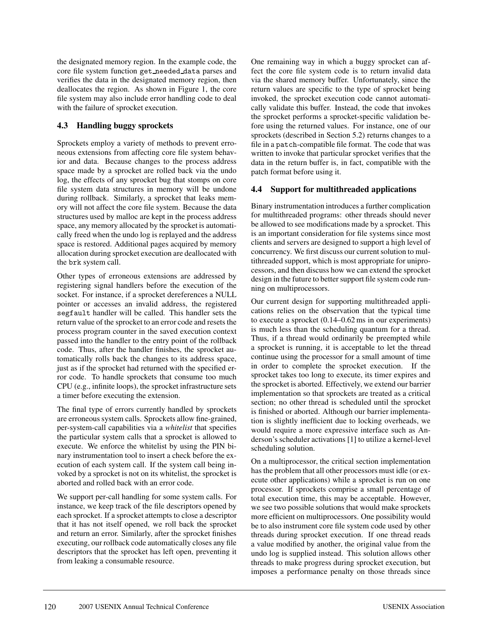the designated memory region. In the example code, the core file system function get needed data parses and verifies the data in the designated memory region, then deallocates the region. As shown in Figure 1, the core file system may also include error handling code to deal with the failure of sprocket execution.

# **4.3 Handling buggy sprockets**

Sprockets employ a variety of methods to prevent erroneous extensions from affecting core file system behavior and data. Because changes to the process address space made by a sprocket are rolled back via the undo log, the effects of any sprocket bug that stomps on core file system data structures in memory will be undone during rollback. Similarly, a sprocket that leaks memory will not affect the core file system. Because the data structures used by malloc are kept in the process address space, any memory allocated by the sprocket is automatically freed when the undo log is replayed and the address space is restored. Additional pages acquired by memory allocation during sprocket execution are deallocated with the brk system call.

Other types of erroneous extensions are addressed by registering signal handlers before the execution of the socket. For instance, if a sprocket dereferences a NULL pointer or accesses an invalid address, the registered segfault handler will be called. This handler sets the return value of the sprocket to an error code and resets the process program counter in the saved execution context passed into the handler to the entry point of the rollback code. Thus, after the handler finishes, the sprocket automatically rolls back the changes to its address space, just as if the sprocket had returned with the specified error code. To handle sprockets that consume too much CPU (e.g., infinite loops), the sprocket infrastructure sets a timer before executing the extension.

The final type of errors currently handled by sprockets are erroneous system calls. Sprockets allow fine-grained, per-system-call capabilities via a *whitelist* that specifies the particular system calls that a sprocket is allowed to execute. We enforce the whitelist by using the PIN binary instrumentation tool to insert a check before the execution of each system call. If the system call being invoked by a sprocket is not on its whitelist, the sprocket is aborted and rolled back with an error code.

We support per-call handling for some system calls. For instance, we keep track of the file descriptors opened by each sprocket. If a sprocket attempts to close a descriptor that it has not itself opened, we roll back the sprocket and return an error. Similarly, after the sprocket finishes executing, our rollback code automatically closes any file descriptors that the sprocket has left open, preventing it from leaking a consumable resource.

One remaining way in which a buggy sprocket can affect the core file system code is to return invalid data via the shared memory buffer. Unfortunately, since the return values are specific to the type of sprocket being invoked, the sprocket execution code cannot automatically validate this buffer. Instead, the code that invokes the sprocket performs a sprocket-specific validation before using the returned values. For instance, one of our sprockets (described in Section 5.2) returns changes to a file in a patch-compatible file format. The code that was written to invoke that particular sprocket verifies that the data in the return buffer is, in fact, compatible with the patch format before using it.

# **4.4 Support for multithreaded applications**

Binary instrumentation introduces a further complication for multithreaded programs: other threads should never be allowed to see modifications made by a sprocket. This is an important consideration for file systems since most clients and servers are designed to support a high level of concurrency. We first discuss our current solution to multithreaded support, which is most appropriate for uniprocessors, and then discuss how we can extend the sprocket design in the future to better support file system code running on multiprocessors.

Our current design for supporting multithreaded applications relies on the observation that the typical time to execute a sprocket (0.14–0.62 ms in our experiments) is much less than the scheduling quantum for a thread. Thus, if a thread would ordinarily be preempted while a sprocket is running, it is acceptable to let the thread continue using the processor for a small amount of time in order to complete the sprocket execution. If the sprocket takes too long to execute, its timer expires and the sprocket is aborted. Effectively, we extend our barrier implementation so that sprockets are treated as a critical section; no other thread is scheduled until the sprocket is finished or aborted. Although our barrier implementation is slightly inefficient due to locking overheads, we would require a more expressive interface such as Anderson's scheduler activations [1] to utilize a kernel-level scheduling solution.

On a multiprocessor, the critical section implementation has the problem that all other processors must idle (or execute other applications) while a sprocket is run on one processor. If sprockets comprise a small percentage of total execution time, this may be acceptable. However, we see two possible solutions that would make sprockets more efficient on multiprocessors. One possibility would be to also instrument core file system code used by other threads during sprocket execution. If one thread reads a value modified by another, the original value from the undo log is supplied instead. This solution allows other threads to make progress during sprocket execution, but imposes a performance penalty on those threads since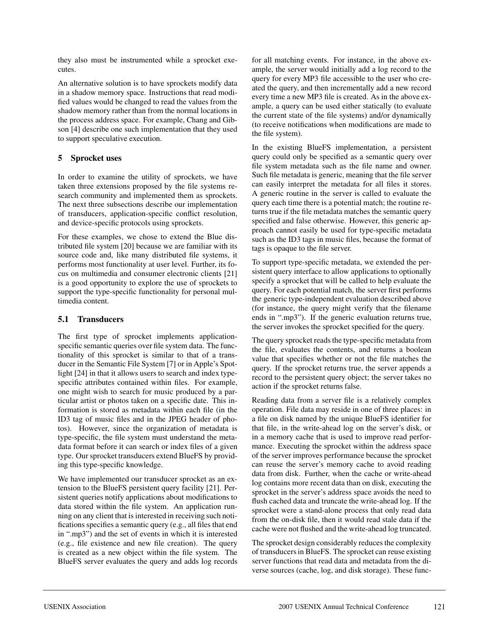they also must be instrumented while a sprocket executes.

An alternative solution is to have sprockets modify data in a shadow memory space. Instructions that read modified values would be changed to read the values from the shadow memory rather than from the normal locations in the process address space. For example, Chang and Gibson [4] describe one such implementation that they used to support speculative execution.

### **5 Sprocket uses**

In order to examine the utility of sprockets, we have taken three extensions proposed by the file systems research community and implemented them as sprockets. The next three subsections describe our implementation of transducers, application-specific conflict resolution, and device-specific protocols using sprockets.

For these examples, we chose to extend the Blue distributed file system [20] because we are familiar with its source code and, like many distributed file systems, it performs most functionality at user level. Further, its focus on multimedia and consumer electronic clients [21] is a good opportunity to explore the use of sprockets to support the type-specific functionality for personal multimedia content.

## **5.1 Transducers**

The first type of sprocket implements applicationspecific semantic queries over file system data. The functionality of this sprocket is similar to that of a transducer in the Semantic File System [7] or in Apple's Spotlight [24] in that it allows users to search and index typespecific attributes contained within files. For example, one might wish to search for music produced by a particular artist or photos taken on a specific date. This information is stored as metadata within each file (in the ID3 tag of music files and in the JPEG header of photos). However, since the organization of metadata is type-specific, the file system must understand the metadata format before it can search or index files of a given type. Our sprocket transducers extend BlueFS by providing this type-specific knowledge.

We have implemented our transducer sprocket as an extension to the BlueFS persistent query facility [21]. Persistent queries notify applications about modifications to data stored within the file system. An application running on any client that is interested in receiving such notifications specifies a semantic query (e.g., all files that end in ".mp3") and the set of events in which it is interested (e.g., file existence and new file creation). The query is created as a new object within the file system. The BlueFS server evaluates the query and adds log records

for all matching events. For instance, in the above example, the server would initially add a log record to the query for every MP3 file accessible to the user who created the query, and then incrementally add a new record every time a new MP3 file is created. As in the above example, a query can be used either statically (to evaluate the current state of the file systems) and/or dynamically (to receive notifications when modifications are made to the file system).

In the existing BlueFS implementation, a persistent query could only be specified as a semantic query over file system metadata such as the file name and owner. Such file metadata is generic, meaning that the file server can easily interpret the metadata for all files it stores. A generic routine in the server is called to evaluate the query each time there is a potential match; the routine returns true if the file metadata matches the semantic query specified and false otherwise. However, this generic approach cannot easily be used for type-specific metadata such as the ID3 tags in music files, because the format of tags is opaque to the file server.

To support type-specific metadata, we extended the persistent query interface to allow applications to optionally specify a sprocket that will be called to help evaluate the query. For each potential match, the server first performs the generic type-independent evaluation described above (for instance, the query might verify that the filename ends in ".mp3"). If the generic evaluation returns true, the server invokes the sprocket specified for the query.

The query sprocket reads the type-specific metadata from the file, evaluates the contents, and returns a boolean value that specifies whether or not the file matches the query. If the sprocket returns true, the server appends a record to the persistent query object; the server takes no action if the sprocket returns false.

Reading data from a server file is a relatively complex operation. File data may reside in one of three places: in a file on disk named by the unique BlueFS identifier for that file, in the write-ahead log on the server's disk, or in a memory cache that is used to improve read performance. Executing the sprocket within the address space of the server improves performance because the sprocket can reuse the server's memory cache to avoid reading data from disk. Further, when the cache or write-ahead log contains more recent data than on disk, executing the sprocket in the server's address space avoids the need to flush cached data and truncate the write-ahead log. If the sprocket were a stand-alone process that only read data from the on-disk file, then it would read stale data if the cache were not flushed and the write-ahead log truncated.

The sprocket design considerably reduces the complexity of transducers in BlueFS. The sprocket can reuse existing server functions that read data and metadata from the diverse sources (cache, log, and disk storage). These func-

7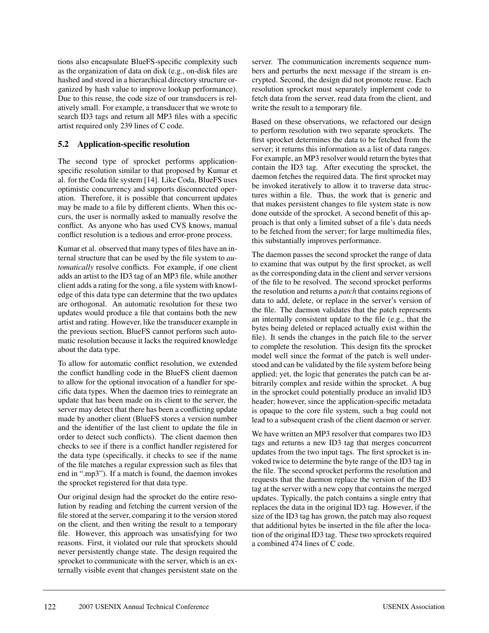tions also encapsulate BlueFS-specific complexity such as the organization of data on disk (e.g., on-disk files are hashed and stored in a hierarchical directory structure organized by hash value to improve lookup performance). Due to this reuse, the code size of our transducers is relatively small. For example, a transducer that we wrote to search ID3 tags and return all MP3 files with a specific artist required only 239 lines of C code.

## **5.2 Application-specific resolution**

The second type of sprocket performs applicationspecific resolution similar to that proposed by Kumar et al. for the Coda file system [14]. Like Coda, BlueFS uses optimistic concurrency and supports disconnected operation. Therefore, it is possible that concurrent updates may be made to a file by different clients. When this occurs, the user is normally asked to manually resolve the conflict. As anyone who has used CVS knows, manual conflict resolution is a tedious and error-prone process.

Kumar et al. observed that many types of files have an internal structure that can be used by the file system to *automatically* resolve conflicts. For example, if one client adds an artist to the ID3 tag of an MP3 file, while another client adds a rating for the song, a file system with knowledge of this data type can determine that the two updates are orthogonal. An automatic resolution for these two updates would produce a file that contains both the new artist and rating. However, like the transducer example in the previous section, BlueFS cannot perform such automatic resolution because it lacks the required knowledge about the data type.

To allow for automatic conflict resolution, we extended the conflict handling code in the BlueFS client daemon to allow for the optional invocation of a handler for specific data types. When the daemon tries to reintegrate an update that has been made on its client to the server, the server may detect that there has been a conflicting update made by another client (BlueFS stores a version number and the identifier of the last client to update the file in order to detect such conflicts). The client daemon then checks to see if there is a conflict handler registered for the data type (specifically, it checks to see if the name of the file matches a regular expression such as files that end in ".mp3"). If a match is found, the daemon invokes the sprocket registered for that data type.

Our original design had the sprocket do the entire resolution by reading and fetching the current version of the file stored at the server, comparing it to the version stored on the client, and then writing the result to a temporary file. However, this approach was unsatisfying for two reasons. First, it violated our rule that sprockets should never persistently change state. The design required the sprocket to communicate with the server, which is an externally visible event that changes persistent state on the

server. The communication increments sequence numbers and perturbs the next message if the stream is encrypted. Second, the design did not promote reuse. Each resolution sprocket must separately implement code to fetch data from the server, read data from the client, and write the result to a temporary file.

Based on these observations, we refactored our design to perform resolution with two separate sprockets. The first sprocket determines the data to be fetched from the server; it returns this information as a list of data ranges. For example, an MP3 resolver would return the bytes that contain the ID3 tag. After executing the sprocket, the daemon fetches the required data. The first sprocket may be invoked iteratively to allow it to traverse data structures within a file. Thus, the work that is generic and that makes persistent changes to file system state is now done outside of the sprocket. A second benefit of this approach is that only a limited subset of a file's data needs to be fetched from the server; for large multimedia files, this substantially improves performance.

The daemon passes the second sprocket the range of data to examine that was output by the first sprocket, as well as the corresponding data in the client and server versions of the file to be resolved. The second sprocket performs the resolution and returns a *patch* that contains regions of data to add, delete, or replace in the server's version of the file. The daemon validates that the patch represents an internally consistent update to the file (e.g., that the bytes being deleted or replaced actually exist within the file). It sends the changes in the patch file to the server to complete the resolution. This design fits the sprocket model well since the format of the patch is well understood and can be validated by the file system before being applied; yet, the logic that generates the patch can be arbitrarily complex and reside within the sprocket. A bug in the sprocket could potentially produce an invalid ID3 header; however, since the application-specific metadata is opaque to the core file system, such a bug could not lead to a subsequent crash of the client daemon or server.

We have written an MP3 resolver that compares two ID3 tags and returns a new ID3 tag that merges concurrent updates from the two input tags. The first sprocket is invoked twice to determine the byte range of the ID3 tag in the file. The second sprocket performs the resolution and requests that the daemon replace the version of the ID3 tag at the server with a new copy that contains the merged updates. Typically, the patch contains a single entry that replaces the data in the original ID3 tag. However, if the size of the ID3 tag has grown, the patch may also request that additional bytes be inserted in the file after the location of the original ID3 tag. These two sprockets required a combined 474 lines of C code.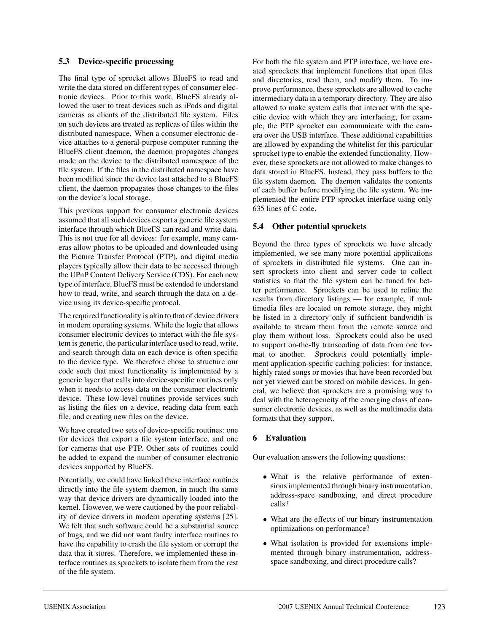### **5.3 Device-specific processing**

The final type of sprocket allows BlueFS to read and write the data stored on different types of consumer electronic devices. Prior to this work, BlueFS already allowed the user to treat devices such as iPods and digital cameras as clients of the distributed file system. Files on such devices are treated as replicas of files within the distributed namespace. When a consumer electronic device attaches to a general-purpose computer running the BlueFS client daemon, the daemon propagates changes made on the device to the distributed namespace of the file system. If the files in the distributed namespace have been modified since the device last attached to a BlueFS client, the daemon propagates those changes to the files on the device's local storage.

This previous support for consumer electronic devices assumed that all such devices export a generic file system interface through which BlueFS can read and write data. This is not true for all devices: for example, many cameras allow photos to be uploaded and downloaded using the Picture Transfer Protocol (PTP), and digital media players typically allow their data to be accessed through the UPnP Content Delivery Service (CDS). For each new type of interface, BlueFS must be extended to understand how to read, write, and search through the data on a device using its device-specific protocol.

The required functionality is akin to that of device drivers in modern operating systems. While the logic that allows consumer electronic devices to interact with the file system is generic, the particular interface used to read, write, and search through data on each device is often specific to the device type. We therefore chose to structure our code such that most functionality is implemented by a generic layer that calls into device-specific routines only when it needs to access data on the consumer electronic device. These low-level routines provide services such as listing the files on a device, reading data from each file, and creating new files on the device.

We have created two sets of device-specific routines: one for devices that export a file system interface, and one for cameras that use PTP. Other sets of routines could be added to expand the number of consumer electronic devices supported by BlueFS.

Potentially, we could have linked these interface routines directly into the file system daemon, in much the same way that device drivers are dynamically loaded into the kernel. However, we were cautioned by the poor reliability of device drivers in modern operating systems [25]. We felt that such software could be a substantial source of bugs, and we did not want faulty interface routines to have the capability to crash the file system or corrupt the data that it stores. Therefore, we implemented these interface routines as sprockets to isolate them from the rest of the file system.

For both the file system and PTP interface, we have created sprockets that implement functions that open files and directories, read them, and modify them. To improve performance, these sprockets are allowed to cache intermediary data in a temporary directory. They are also allowed to make system calls that interact with the specific device with which they are interfacing; for example, the PTP sprocket can communicate with the camera over the USB interface. These additional capabilities are allowed by expanding the whitelist for this particular sprocket type to enable the extended functionality. However, these sprockets are not allowed to make changes to data stored in BlueFS. Instead, they pass buffers to the file system daemon. The daemon validates the contents of each buffer before modifying the file system. We implemented the entire PTP sprocket interface using only 635 lines of C code.

## **5.4 Other potential sprockets**

Beyond the three types of sprockets we have already implemented, we see many more potential applications of sprockets in distributed file systems. One can insert sprockets into client and server code to collect statistics so that the file system can be tuned for better performance. Sprockets can be used to refine the results from directory listings — for example, if multimedia files are located on remote storage, they might be listed in a directory only if sufficient bandwidth is available to stream them from the remote source and play them without loss. Sprockets could also be used to support on-the-fly transcoding of data from one format to another. Sprockets could potentially implement application-specific caching policies: for instance, highly rated songs or movies that have been recorded but not yet viewed can be stored on mobile devices. In general, we believe that sprockets are a promising way to deal with the heterogeneity of the emerging class of consumer electronic devices, as well as the multimedia data formats that they support.

## **6 Evaluation**

Our evaluation answers the following questions:

- What is the relative performance of extensions implemented through binary instrumentation, address-space sandboxing, and direct procedure calls?
- What are the effects of our binary instrumentation optimizations on performance?
- What isolation is provided for extensions implemented through binary instrumentation, addressspace sandboxing, and direct procedure calls?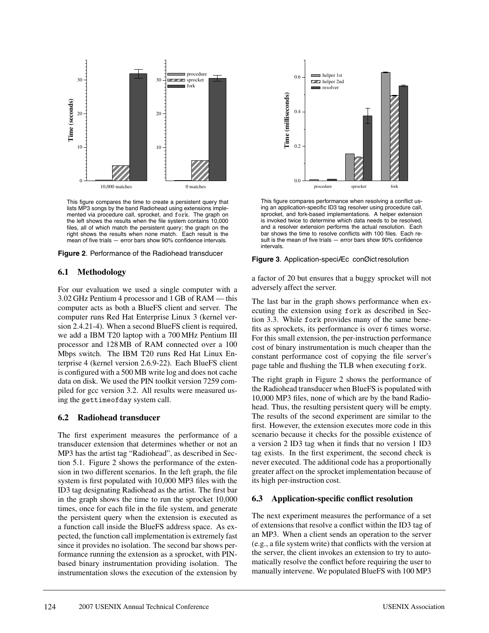

This figure compares the time to create a persistent query that lists MP3 songs by the band Radiohead using extensions implemented via procedure call, sprocket, and fork. The graph on the left shows the results when the file system contains 10,000 files, all of which match the persistent query; the graph on the right shows the results when none match. Each result is the mean of five trials — error bars show 90% confidence intervals.

**Figure 2**. Performance of the Radiohead transducer

### **6.1 Methodology**

For our evaluation we used a single computer with a 3.02 GHz Pentium 4 processor and 1 GB of RAM — this computer acts as both a BlueFS client and server. The computer runs Red Hat Enterprise Linux 3 (kernel version 2.4.21-4). When a second BlueFS client is required, we add a IBM T20 laptop with a 700 MHz Pentium III processor and 128 MB of RAM connected over a 100 Mbps switch. The IBM T20 runs Red Hat Linux Enterprise 4 (kernel version 2.6.9-22). Each BlueFS client is configured with a 500 MB write log and does not cache data on disk. We used the PIN toolkit version 7259 compiled for gcc version 3.2. All results were measured using the gettimeofday system call.

#### **6.2 Radiohead transducer**

The first experiment measures the performance of a transducer extension that determines whether or not an MP3 has the artist tag "Radiohead", as described in Section 5.1. Figure 2 shows the performance of the extension in two different scenarios. In the left graph, the file system is first populated with 10,000 MP3 files with the ID3 tag designating Radiohead as the artist. The first bar in the graph shows the time to run the sprocket 10,000 times, once for each file in the file system, and generate the persistent query when the extension is executed as a function call inside the BlueFS address space. As expected, the function call implementation is extremely fast since it provides no isolation. The second bar shows performance running the extension as a sprocket, with PINbased binary instrumentation providing isolation. The instrumentation slows the execution of the extension by



This figure compares performance when resolving a conflict using an application-specific ID3 tag resolver using procedure call, sprocket, and fork-based implementations. A helper extension is invoked twice to determine which data needs to be resolved, and a resolver extension performs the actual resolution. Each bar shows the time to resolve conflicts with 100 files. Each result is the mean of five trials — error bars show 90% confidence intervals.

#### **Figure 3**. Application-speciÆc conØict resolution

a factor of 20 but ensures that a buggy sprocket will not adversely affect the server.

The last bar in the graph shows performance when executing the extension using fork as described in Section 3.3. While fork provides many of the same benefits as sprockets, its performance is over 6 times worse. For this small extension, the per-instruction performance cost of binary instrumentation is much cheaper than the constant performance cost of copying the file server's page table and flushing the TLB when executing fork.

The right graph in Figure 2 shows the performance of the Radiohead transducer when BlueFS is populated with 10,000 MP3 files, none of which are by the band Radiohead. Thus, the resulting persistent query will be empty. The results of the second experiment are similar to the first. However, the extension executes more code in this scenario because it checks for the possible existence of a version 2 ID3 tag when it finds that no version 1 ID3 tag exists. In the first experiment, the second check is never executed. The additional code has a proportionally greater affect on the sprocket implementation because of its high per-instruction cost.

### **6.3 Application-specific conflict resolution**

The next experiment measures the performance of a set of extensions that resolve a conflict within the ID3 tag of an MP3. When a client sends an operation to the server (e.g., a file system write) that conflicts with the version at the server, the client invokes an extension to try to automatically resolve the conflict before requiring the user to manually intervene. We populated BlueFS with 100 MP3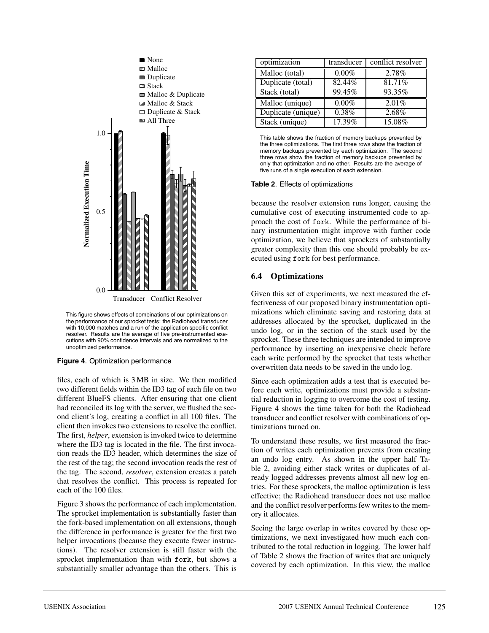

This figure shows effects of combinations of our optimizations on the performance of our sprocket tests: the Radiohead transducer with 10,000 matches and a run of the application specific conflict resolver. Results are the average of five pre-instrumented executions with 90% confidence intervals and are normalized to the unoptimized performance.

#### **Figure 4**. Optimization performance

files, each of which is 3 MB in size. We then modified two different fields within the ID3 tag of each file on two different BlueFS clients. After ensuring that one client had reconciled its log with the server, we flushed the second client's log, creating a conflict in all 100 files. The client then invokes two extensions to resolve the conflict. The first, *helper*, extension is invoked twice to determine where the ID3 tag is located in the file. The first invocation reads the ID3 header, which determines the size of the rest of the tag; the second invocation reads the rest of the tag. The second, *resolver*, extension creates a patch that resolves the conflict. This process is repeated for each of the 100 files.

Figure 3 shows the performance of each implementation. The sprocket implementation is substantially faster than the fork-based implementation on all extensions, though the difference in performance is greater for the first two helper invocations (because they execute fewer instructions). The resolver extension is still faster with the sprocket implementation than with fork, but shows a substantially smaller advantage than the others. This is

| optimization       | transducer | conflict resolver |
|--------------------|------------|-------------------|
| Malloc (total)     | $0.00\%$   | 2.78%             |
| Duplicate (total)  | 82.44%     | 81.71%            |
| Stack (total)      | 99.45%     | 93.35%            |
| Malloc (unique)    | $0.00\%$   | 2.01%             |
| Duplicate (unique) | $0.38\%$   | 2.68%             |
| Stack (unique)     | 17.39%     | 15.08%            |

This table shows the fraction of memory backups prevented by the three optimizations. The first three rows show the fraction of memory backups prevented by each optimization. The second three rows show the fraction of memory backups prevented by only that optimization and no other. Results are the average of five runs of a single execution of each extension.

#### **Table 2**. Effects of optimizations

because the resolver extension runs longer, causing the cumulative cost of executing instrumented code to approach the cost of fork. While the performance of binary instrumentation might improve with further code optimization, we believe that sprockets of substantially greater complexity than this one should probably be executed using fork for best performance.

### **6.4 Optimizations**

Given this set of experiments, we next measured the effectiveness of our proposed binary instrumentation optimizations which eliminate saving and restoring data at addresses allocated by the sprocket, duplicated in the undo log, or in the section of the stack used by the sprocket. These three techniques are intended to improve performance by inserting an inexpensive check before each write performed by the sprocket that tests whether overwritten data needs to be saved in the undo log.

Since each optimization adds a test that is executed before each write, optimizations must provide a substantial reduction in logging to overcome the cost of testing. Figure 4 shows the time taken for both the Radiohead transducer and conflict resolver with combinations of optimizations turned on.

To understand these results, we first measured the fraction of writes each optimization prevents from creating an undo log entry. As shown in the upper half Table 2, avoiding either stack writes or duplicates of already logged addresses prevents almost all new log entries. For these sprockets, the malloc optimization is less effective; the Radiohead transducer does not use malloc and the conflict resolver performs few writes to the memory it allocates.

Seeing the large overlap in writes covered by these optimizations, we next investigated how much each contributed to the total reduction in logging. The lower half of Table 2 shows the fraction of writes that are uniquely covered by each optimization. In this view, the malloc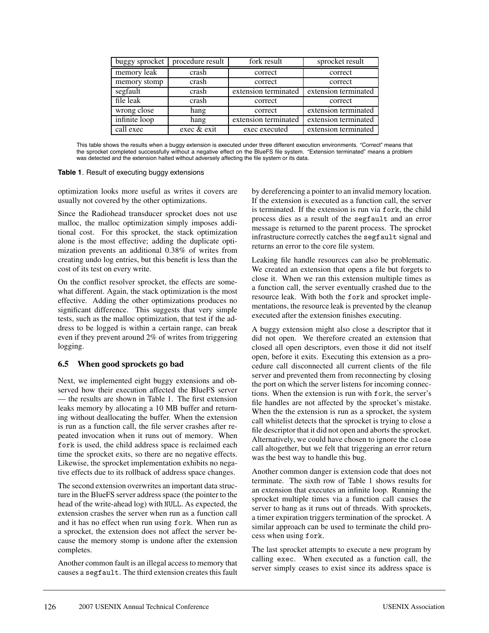| buggy sprocket | procedure result | fork result          | sprocket result      |
|----------------|------------------|----------------------|----------------------|
| memory leak    | crash            | correct              | correct              |
| memory stomp   | crash            | correct              | correct              |
| segfault       | crash            | extension terminated | extension terminated |
| file leak      | crash            | correct              | correct              |
| wrong close    | hang             | correct              | extension terminated |
| infinite loop  | hang             | extension terminated | extension terminated |
| call exec      | exec & exit      | exec executed        | extension terminated |

This table shows the results when a buggy extension is executed under three different execution environments. "Correct" means that the sprocket completed successfully without a negative effect on the BlueFS file system. "Extension terminated" means a problem was detected and the extension halted without adversely affecting the file system or its data.

#### **Table 1**. Result of executing buggy extensions

optimization looks more useful as writes it covers are usually not covered by the other optimizations.

Since the Radiohead transducer sprocket does not use malloc, the malloc optimization simply imposes additional cost. For this sprocket, the stack optimization alone is the most effective; adding the duplicate optimization prevents an additional 0.38% of writes from creating undo log entries, but this benefit is less than the cost of its test on every write.

On the conflict resolver sprocket, the effects are somewhat different. Again, the stack optimization is the most effective. Adding the other optimizations produces no significant difference. This suggests that very simple tests, such as the malloc optimization, that test if the address to be logged is within a certain range, can break even if they prevent around 2% of writes from triggering logging.

### **6.5 When good sprockets go bad**

Next, we implemented eight buggy extensions and observed how their execution affected the BlueFS server — the results are shown in Table 1. The first extension leaks memory by allocating a 10 MB buffer and returning without deallocating the buffer. When the extension is run as a function call, the file server crashes after repeated invocation when it runs out of memory. When fork is used, the child address space is reclaimed each time the sprocket exits, so there are no negative effects. Likewise, the sprocket implementation exhibits no negative effects due to its rollback of address space changes.

The second extension overwrites an important data structure in the BlueFS server address space (the pointer to the head of the write-ahead log) with NULL. As expected, the extension crashes the server when run as a function call and it has no effect when run using fork. When run as a sprocket, the extension does not affect the server because the memory stomp is undone after the extension completes.

Another common fault is an illegal access to memory that causes a segfault. The third extension creates this fault

by dereferencing a pointer to an invalid memory location. If the extension is executed as a function call, the server is terminated. If the extension is run via fork, the child process dies as a result of the segfault and an error message is returned to the parent process. The sprocket infrastructure correctly catches the segfault signal and returns an error to the core file system.

Leaking file handle resources can also be problematic. We created an extension that opens a file but forgets to close it. When we ran this extension multiple times as a function call, the server eventually crashed due to the resource leak. With both the fork and sprocket implementations, the resource leak is prevented by the cleanup executed after the extension finishes executing.

A buggy extension might also close a descriptor that it did not open. We therefore created an extension that closed all open descriptors, even those it did not itself open, before it exits. Executing this extension as a procedure call disconnected all current clients of the file server and prevented them from reconnecting by closing the port on which the server listens for incoming connections. When the extension is run with fork, the server's file handles are not affected by the sprocket's mistake. When the the extension is run as a sprocket, the system call whitelist detects that the sprocket is trying to close a file descriptor that it did not open and aborts the sprocket. Alternatively, we could have chosen to ignore the close call altogether, but we felt that triggering an error return was the best way to handle this bug.

Another common danger is extension code that does not terminate. The sixth row of Table 1 shows results for an extension that executes an infinite loop. Running the sprocket multiple times via a function call causes the server to hang as it runs out of threads. With sprockets, a timer expiration triggers termination of the sprocket. A similar approach can be used to terminate the child process when using fork.

The last sprocket attempts to execute a new program by calling exec. When executed as a function call, the server simply ceases to exist since its address space is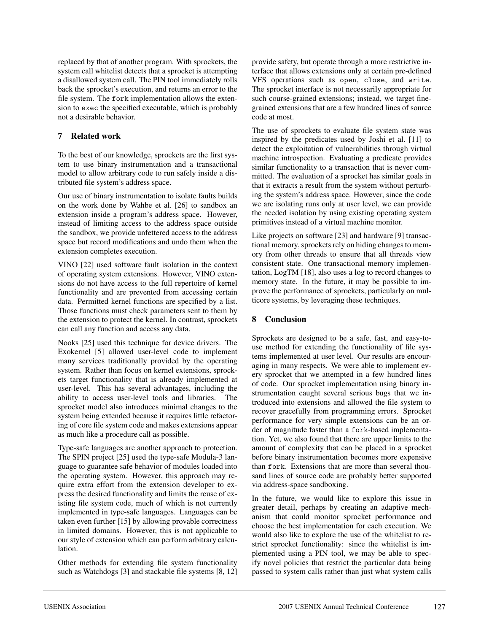replaced by that of another program. With sprockets, the system call whitelist detects that a sprocket is attempting a disallowed system call. The PIN tool immediately rolls back the sprocket's execution, and returns an error to the file system. The fork implementation allows the extension to exec the specified executable, which is probably not a desirable behavior.

## **7 Related work**

To the best of our knowledge, sprockets are the first system to use binary instrumentation and a transactional model to allow arbitrary code to run safely inside a distributed file system's address space.

Our use of binary instrumentation to isolate faults builds on the work done by Wahbe et al. [26] to sandbox an extension inside a program's address space. However, instead of limiting access to the address space outside the sandbox, we provide unfettered access to the address space but record modifications and undo them when the extension completes execution.

VINO [22] used software fault isolation in the context of operating system extensions. However, VINO extensions do not have access to the full repertoire of kernel functionality and are prevented from accessing certain data. Permitted kernel functions are specified by a list. Those functions must check parameters sent to them by the extension to protect the kernel. In contrast, sprockets can call any function and access any data.

Nooks [25] used this technique for device drivers. The Exokernel [5] allowed user-level code to implement many services traditionally provided by the operating system. Rather than focus on kernel extensions, sprockets target functionality that is already implemented at user-level. This has several advantages, including the ability to access user-level tools and libraries. The sprocket model also introduces minimal changes to the system being extended because it requires little refactoring of core file system code and makes extensions appear as much like a procedure call as possible.

Type-safe languages are another approach to protection. The SPIN project [25] used the type-safe Modula-3 language to guarantee safe behavior of modules loaded into the operating system. However, this approach may require extra effort from the extension developer to express the desired functionality and limits the reuse of existing file system code, much of which is not currently implemented in type-safe languages. Languages can be taken even further [15] by allowing provable correctness in limited domains. However, this is not applicable to our style of extension which can perform arbitrary calculation.

Other methods for extending file system functionality such as Watchdogs [3] and stackable file systems [8, 12] provide safety, but operate through a more restrictive interface that allows extensions only at certain pre-defined VFS operations such as open, close, and write. The sprocket interface is not necessarily appropriate for such course-grained extensions; instead, we target finegrained extensions that are a few hundred lines of source code at most.

The use of sprockets to evaluate file system state was inspired by the predicates used by Joshi et al. [11] to detect the exploitation of vulnerabilities through virtual machine introspection. Evaluating a predicate provides similar functionality to a transaction that is never committed. The evaluation of a sprocket has similar goals in that it extracts a result from the system without perturbing the system's address space. However, since the code we are isolating runs only at user level, we can provide the needed isolation by using existing operating system primitives instead of a virtual machine monitor.

Like projects on software [23] and hardware [9] transactional memory, sprockets rely on hiding changes to memory from other threads to ensure that all threads view consistent state. One transactional memory implementation, LogTM [18], also uses a log to record changes to memory state. In the future, it may be possible to improve the performance of sprockets, particularly on multicore systems, by leveraging these techniques.

# **8 Conclusion**

Sprockets are designed to be a safe, fast, and easy-touse method for extending the functionality of file systems implemented at user level. Our results are encouraging in many respects. We were able to implement every sprocket that we attempted in a few hundred lines of code. Our sprocket implementation using binary instrumentation caught several serious bugs that we introduced into extensions and allowed the file system to recover gracefully from programming errors. Sprocket performance for very simple extensions can be an order of magnitude faster than a fork-based implementation. Yet, we also found that there are upper limits to the amount of complexity that can be placed in a sprocket before binary instrumentation becomes more expensive than fork. Extensions that are more than several thousand lines of source code are probably better supported via address-space sandboxing.

In the future, we would like to explore this issue in greater detail, perhaps by creating an adaptive mechanism that could monitor sprocket performance and choose the best implementation for each execution. We would also like to explore the use of the whitelist to restrict sprocket functionality: since the whitelist is implemented using a PIN tool, we may be able to specify novel policies that restrict the particular data being passed to system calls rather than just what system calls